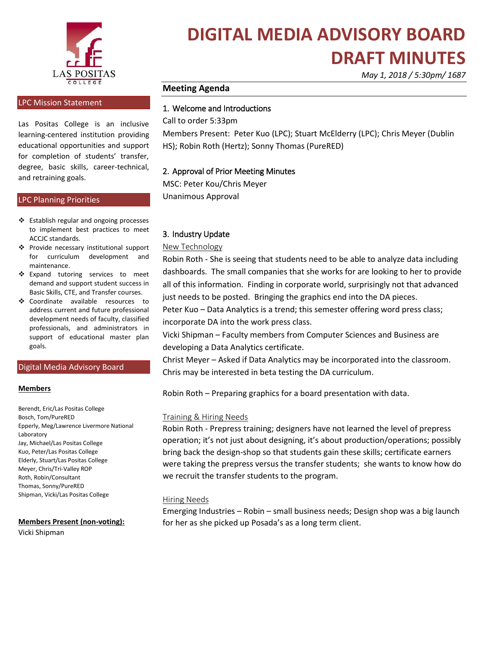

### **DIGITAL MEDIA ADVISORY BOARD DRAFT MINUTES**

*May 1, 2018 / 5:30pm/ 1687*

#### **Meeting Agenda**

#### 1. Welcome and Introductions

Call to order 5:33pm

Members Present: Peter Kuo (LPC); Stuart McElderry (LPC); Chris Meyer (Dublin HS); Robin Roth (Hertz); Sonny Thomas (PureRED)

#### 2. Approval of Prior Meeting Minutes

MSC: Peter Kou/Chris Meyer Unanimous Approval

### 3. Industry Update

#### New Technology

Robin Roth - She is seeing that students need to be able to analyze data including dashboards. The small companies that she works for are looking to her to provide all of this information. Finding in corporate world, surprisingly not that advanced just needs to be posted. Bringing the graphics end into the DA pieces.

Peter Kuo – Data Analytics is a trend; this semester offering word press class; incorporate DA into the work press class.

Vicki Shipman – Faculty members from Computer Sciences and Business are developing a Data Analytics certificate.

Christ Meyer – Asked if Data Analytics may be incorporated into the classroom. Chris may be interested in beta testing the DA curriculum.

Robin Roth – Preparing graphics for a board presentation with data.

#### Training & Hiring Needs

Robin Roth - Prepress training; designers have not learned the level of prepress operation; it's not just about designing, it's about production/operations; possibly bring back the design-shop so that students gain these skills; certificate earners were taking the prepress versus the transfer students; she wants to know how do we recruit the transfer students to the program.

#### Hiring Needs

Emerging Industries – Robin – small business needs; Design shop was a big launch for her as she picked up Posada's as a long term client.

#### LPC Mission Statement

Las Positas College is an inclusive learning-centered institution providing educational opportunities and support for completion of students' transfer, degree, basic skills, career-technical, and retraining goals.

#### LPC Planning Priorities

- ❖ Establish regular and ongoing processes to implement best practices to meet ACCJC standards.
- ❖ Provide necessary institutional support for curriculum development and maintenance.
- ❖ Expand tutoring services to meet demand and support student success in Basic Skills, CTE, and Transfer courses.
- ❖ Coordinate available resources to address current and future professional development needs of faculty, classified professionals, and administrators in support of educational master plan goals.

#### Digital Media Advisory Board

#### **Members**

Berendt, Eric/Las Positas College Bosch, Tom/PureRED Epperly, Meg/Lawrence Livermore National Laboratory Jay, Michael/Las Positas College Kuo, Peter/Las Positas College Elderly, Stuart/Las Positas College Meyer, Chris/Tri-Valley ROP Roth, Robin/Consultant Thomas, Sonny/PureRED Shipman, Vicki/Las Positas College

#### **Members Present (non-voting):**

Vicki Shipman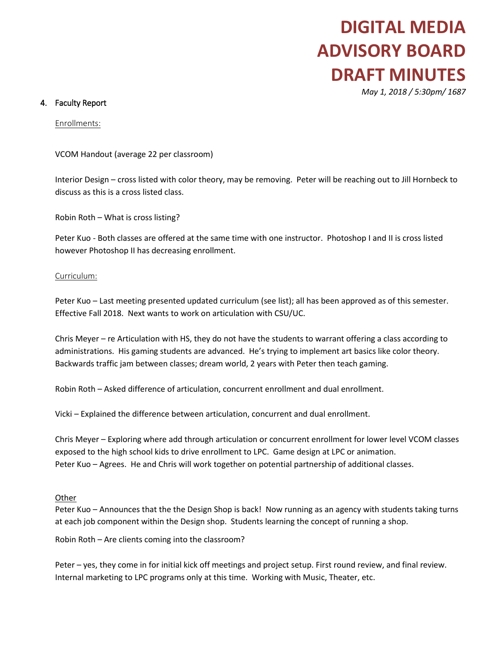# **DIGITAL MEDIA ADVISORY BOARD DRAFT MINUTES**

*May 1, 2018 / 5:30pm/ 1687*

#### 4. Faculty Report

Enrollments:

VCOM Handout (average 22 per classroom)

Interior Design – cross listed with color theory, may be removing. Peter will be reaching out to Jill Hornbeck to discuss as this is a cross listed class.

Robin Roth – What is cross listing?

Peter Kuo - Both classes are offered at the same time with one instructor. Photoshop I and II is cross listed however Photoshop II has decreasing enrollment.

#### Curriculum:

Peter Kuo – Last meeting presented updated curriculum (see list); all has been approved as of this semester. Effective Fall 2018. Next wants to work on articulation with CSU/UC.

Chris Meyer – re Articulation with HS, they do not have the students to warrant offering a class according to administrations. His gaming students are advanced. He's trying to implement art basics like color theory. Backwards traffic jam between classes; dream world, 2 years with Peter then teach gaming.

Robin Roth – Asked difference of articulation, concurrent enrollment and dual enrollment.

Vicki – Explained the difference between articulation, concurrent and dual enrollment.

Chris Meyer – Exploring where add through articulation or concurrent enrollment for lower level VCOM classes exposed to the high school kids to drive enrollment to LPC. Game design at LPC or animation. Peter Kuo – Agrees. He and Chris will work together on potential partnership of additional classes.

#### Other

Peter Kuo – Announces that the the Design Shop is back! Now running as an agency with students taking turns at each job component within the Design shop. Students learning the concept of running a shop.

Robin Roth – Are clients coming into the classroom?

Peter – yes, they come in for initial kick off meetings and project setup. First round review, and final review. Internal marketing to LPC programs only at this time. Working with Music, Theater, etc.